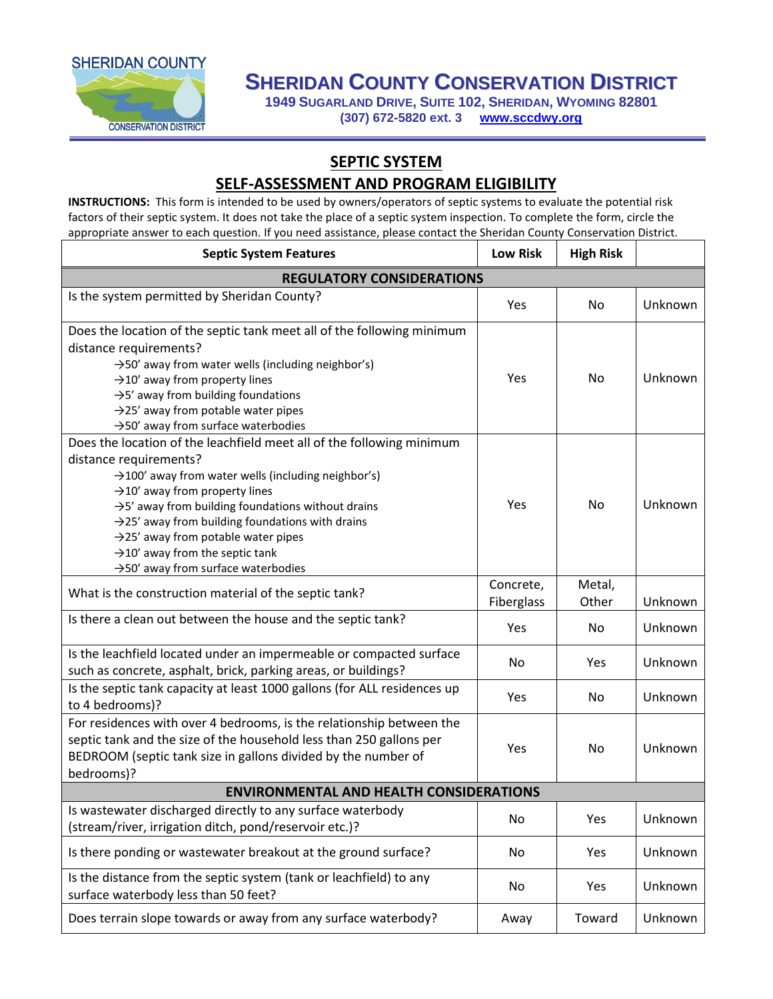

## **SHERIDAN COUNTY CONSERVATION DISTRICT**

**1949 SUGARLAND DRIVE, SUITE 102, SHERIDAN, WYOMING 82801 (307) 672-5820 ext. 3 [www.sccdwy.org](http://www.sccdwy.org/)**

## **SEPTIC SYSTEM**

## **SELF-ASSESSMENT AND PROGRAM ELIGIBILITY**

**INSTRUCTIONS:** This form is intended to be used by owners/operators of septic systems to evaluate the potential risk factors of their septic system. It does not take the place of a septic system inspection. To complete the form, circle the appropriate answer to each question. If you need assistance, please contact the Sheridan County Conservation District.

| <b>Septic System Features</b>                                                                                                                                                                                                                                                                                                                                                                                                                                                                           | <b>Low Risk</b>         | <b>High Risk</b> |         |  |  |  |
|---------------------------------------------------------------------------------------------------------------------------------------------------------------------------------------------------------------------------------------------------------------------------------------------------------------------------------------------------------------------------------------------------------------------------------------------------------------------------------------------------------|-------------------------|------------------|---------|--|--|--|
| <b>REGULATORY CONSIDERATIONS</b>                                                                                                                                                                                                                                                                                                                                                                                                                                                                        |                         |                  |         |  |  |  |
| Is the system permitted by Sheridan County?                                                                                                                                                                                                                                                                                                                                                                                                                                                             | Yes                     | No.              | Unknown |  |  |  |
| Does the location of the septic tank meet all of the following minimum<br>distance requirements?<br>$\rightarrow$ 50' away from water wells (including neighbor's)<br>$\rightarrow$ 10' away from property lines<br>$\rightarrow$ 5' away from building foundations<br>$\rightarrow$ 25' away from potable water pipes<br>$\rightarrow$ 50' away from surface waterbodies                                                                                                                               | Yes                     | No               | Unknown |  |  |  |
| Does the location of the leachfield meet all of the following minimum<br>distance requirements?<br>$\rightarrow$ 100' away from water wells (including neighbor's)<br>$\rightarrow$ 10' away from property lines<br>$\rightarrow$ 5' away from building foundations without drains<br>$\rightarrow$ 25' away from building foundations with drains<br>$\rightarrow$ 25' away from potable water pipes<br>$\rightarrow$ 10' away from the septic tank<br>$\rightarrow$ 50' away from surface waterbodies | Yes                     | No               | Unknown |  |  |  |
| What is the construction material of the septic tank?                                                                                                                                                                                                                                                                                                                                                                                                                                                   | Concrete,<br>Fiberglass | Metal,<br>Other  | Unknown |  |  |  |
| Is there a clean out between the house and the septic tank?                                                                                                                                                                                                                                                                                                                                                                                                                                             | Yes                     | No               | Unknown |  |  |  |
| Is the leachfield located under an impermeable or compacted surface<br>such as concrete, asphalt, brick, parking areas, or buildings?                                                                                                                                                                                                                                                                                                                                                                   | No                      | Yes              | Unknown |  |  |  |
| Is the septic tank capacity at least 1000 gallons (for ALL residences up<br>to 4 bedrooms)?                                                                                                                                                                                                                                                                                                                                                                                                             | Yes                     | No               | Unknown |  |  |  |
| For residences with over 4 bedrooms, is the relationship between the<br>septic tank and the size of the household less than 250 gallons per<br>BEDROOM (septic tank size in gallons divided by the number of<br>bedrooms)?                                                                                                                                                                                                                                                                              | Yes                     | No               | Unknown |  |  |  |
| <b>ENVIRONMENTAL AND HEALTH CONSIDERATIONS</b>                                                                                                                                                                                                                                                                                                                                                                                                                                                          |                         |                  |         |  |  |  |
| Is wastewater discharged directly to any surface waterbody<br>(stream/river, irrigation ditch, pond/reservoir etc.)?                                                                                                                                                                                                                                                                                                                                                                                    | No                      | Yes              | Unknown |  |  |  |
| Is there ponding or wastewater breakout at the ground surface?                                                                                                                                                                                                                                                                                                                                                                                                                                          | No                      | Yes              | Unknown |  |  |  |
| Is the distance from the septic system (tank or leachfield) to any<br>surface waterbody less than 50 feet?                                                                                                                                                                                                                                                                                                                                                                                              | No                      | Yes              | Unknown |  |  |  |
| Does terrain slope towards or away from any surface waterbody?                                                                                                                                                                                                                                                                                                                                                                                                                                          | Away                    | Toward           | Unknown |  |  |  |